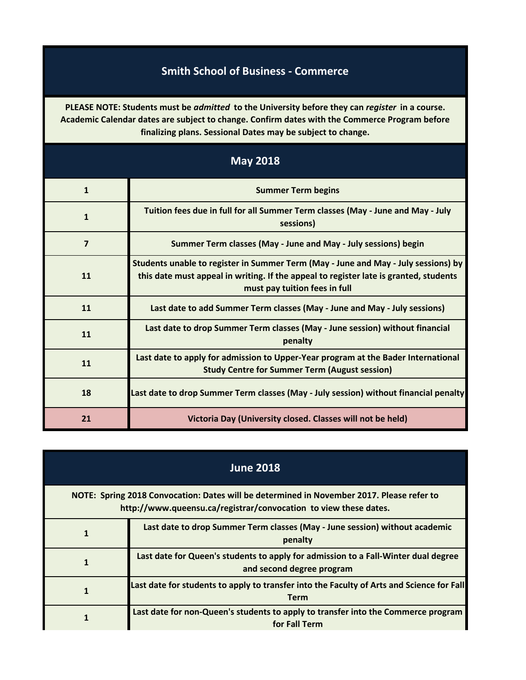## **Smith School of Business - Commerce**

**PLEASE NOTE: Students must be** *admitted* **to the University before they can** *register* **in a course. Academic Calendar dates are subject to change. Confirm dates with the Commerce Program before finalizing plans. Sessional Dates may be subject to change.**

| <b>May 2018</b> |                                                                                                                                                                                                              |
|-----------------|--------------------------------------------------------------------------------------------------------------------------------------------------------------------------------------------------------------|
| $\mathbf{1}$    | <b>Summer Term begins</b>                                                                                                                                                                                    |
| $\mathbf{1}$    | Tuition fees due in full for all Summer Term classes (May - June and May - July<br>sessions)                                                                                                                 |
| $\overline{7}$  | Summer Term classes (May - June and May - July sessions) begin                                                                                                                                               |
| 11              | Students unable to register in Summer Term (May - June and May - July sessions) by<br>this date must appeal in writing. If the appeal to register late is granted, students<br>must pay tuition fees in full |
| 11              | Last date to add Summer Term classes (May - June and May - July sessions)                                                                                                                                    |
| 11              | Last date to drop Summer Term classes (May - June session) without financial<br>penalty                                                                                                                      |
| 11              | Last date to apply for admission to Upper-Year program at the Bader International<br><b>Study Centre for Summer Term (August session)</b>                                                                    |
| 18              | Last date to drop Summer Term classes (May - July session) without financial penalty                                                                                                                         |
| 21              | Victoria Day (University closed. Classes will not be held)                                                                                                                                                   |

| <b>June 2018</b>                                                                                                                                              |                                                                                                                 |
|---------------------------------------------------------------------------------------------------------------------------------------------------------------|-----------------------------------------------------------------------------------------------------------------|
| NOTE: Spring 2018 Convocation: Dates will be determined in November 2017. Please refer to<br>http://www.queensu.ca/registrar/convocation to view these dates. |                                                                                                                 |
|                                                                                                                                                               | Last date to drop Summer Term classes (May - June session) without academic<br>penalty                          |
|                                                                                                                                                               | Last date for Queen's students to apply for admission to a Fall-Winter dual degree<br>and second degree program |
|                                                                                                                                                               | Last date for students to apply to transfer into the Faculty of Arts and Science for Fall<br><b>Term</b>        |
|                                                                                                                                                               | Last date for non-Queen's students to apply to transfer into the Commerce program<br>for Fall Term              |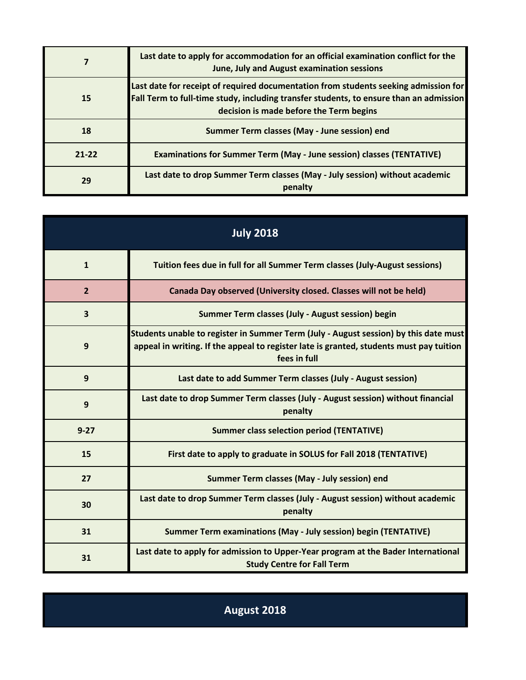|           | Last date to apply for accommodation for an official examination conflict for the<br>June, July and August examination sessions                                                                                          |
|-----------|--------------------------------------------------------------------------------------------------------------------------------------------------------------------------------------------------------------------------|
| 15        | Last date for receipt of required documentation from students seeking admission for<br>Fall Term to full-time study, including transfer students, to ensure than an admission<br>decision is made before the Term begins |
| 18        | Summer Term classes (May - June session) end                                                                                                                                                                             |
| $21 - 22$ | <b>Examinations for Summer Term (May - June session) classes (TENTATIVE)</b>                                                                                                                                             |
| 29        | Last date to drop Summer Term classes (May - July session) without academic<br>penalty                                                                                                                                   |

| <b>July 2018</b>        |                                                                                                                                                                                                 |
|-------------------------|-------------------------------------------------------------------------------------------------------------------------------------------------------------------------------------------------|
| $\mathbf{1}$            | Tuition fees due in full for all Summer Term classes (July-August sessions)                                                                                                                     |
| $\overline{2}$          | Canada Day observed (University closed. Classes will not be held)                                                                                                                               |
| $\overline{\mathbf{3}}$ | Summer Term classes (July - August session) begin                                                                                                                                               |
| 9                       | Students unable to register in Summer Term (July - August session) by this date must<br>appeal in writing. If the appeal to register late is granted, students must pay tuition<br>fees in full |
| 9                       | Last date to add Summer Term classes (July - August session)                                                                                                                                    |
| 9                       | Last date to drop Summer Term classes (July - August session) without financial<br>penalty                                                                                                      |
| $9 - 27$                | <b>Summer class selection period (TENTATIVE)</b>                                                                                                                                                |
| 15                      | First date to apply to graduate in SOLUS for Fall 2018 (TENTATIVE)                                                                                                                              |
| 27                      | Summer Term classes (May - July session) end                                                                                                                                                    |
| 30                      | Last date to drop Summer Term classes (July - August session) without academic<br>penalty                                                                                                       |
| 31                      | Summer Term examinations (May - July session) begin (TENTATIVE)                                                                                                                                 |
| 31                      | Last date to apply for admission to Upper-Year program at the Bader International<br><b>Study Centre for Fall Term</b>                                                                          |

**August 2018**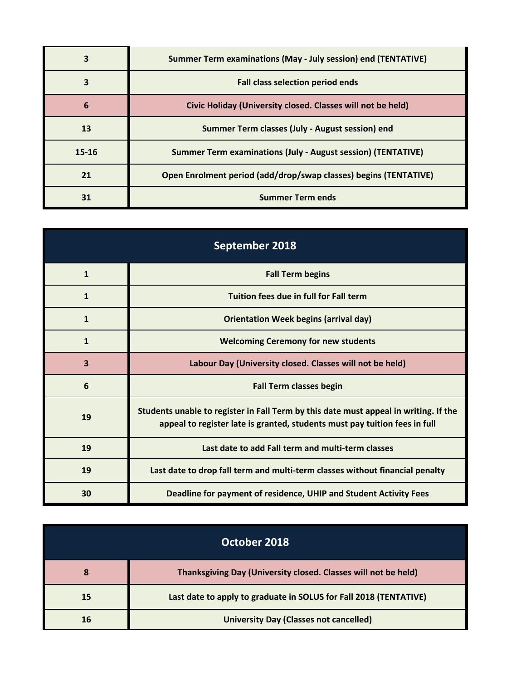|           | Summer Term examinations (May - July session) end (TENTATIVE)       |
|-----------|---------------------------------------------------------------------|
|           | <b>Fall class selection period ends</b>                             |
| 6         | Civic Holiday (University closed. Classes will not be held)         |
| 13        | Summer Term classes (July - August session) end                     |
| $15 - 16$ | <b>Summer Term examinations (July - August session) (TENTATIVE)</b> |
| 21        | Open Enrolment period (add/drop/swap classes) begins (TENTATIVE)    |
| 31        | <b>Summer Term ends</b>                                             |

| September 2018 |                                                                                                                                                                    |
|----------------|--------------------------------------------------------------------------------------------------------------------------------------------------------------------|
| 1              | <b>Fall Term begins</b>                                                                                                                                            |
| 1              | Tuition fees due in full for Fall term                                                                                                                             |
| 1              | <b>Orientation Week begins (arrival day)</b>                                                                                                                       |
| $\mathbf{1}$   | <b>Welcoming Ceremony for new students</b>                                                                                                                         |
| 3              | Labour Day (University closed. Classes will not be held)                                                                                                           |
| 6              | <b>Fall Term classes begin</b>                                                                                                                                     |
| 19             | Students unable to register in Fall Term by this date must appeal in writing. If the<br>appeal to register late is granted, students must pay tuition fees in full |
| 19             | Last date to add Fall term and multi-term classes                                                                                                                  |
| 19             | Last date to drop fall term and multi-term classes without financial penalty                                                                                       |
| 30             | Deadline for payment of residence, UHIP and Student Activity Fees                                                                                                  |

|    | October 2018                                                      |
|----|-------------------------------------------------------------------|
| 8  | Thanksgiving Day (University closed. Classes will not be held)    |
| 15 | Last date to apply to graduate in SOLUS for Fall 2018 (TENTATIVE) |
| 16 | <b>University Day (Classes not cancelled)</b>                     |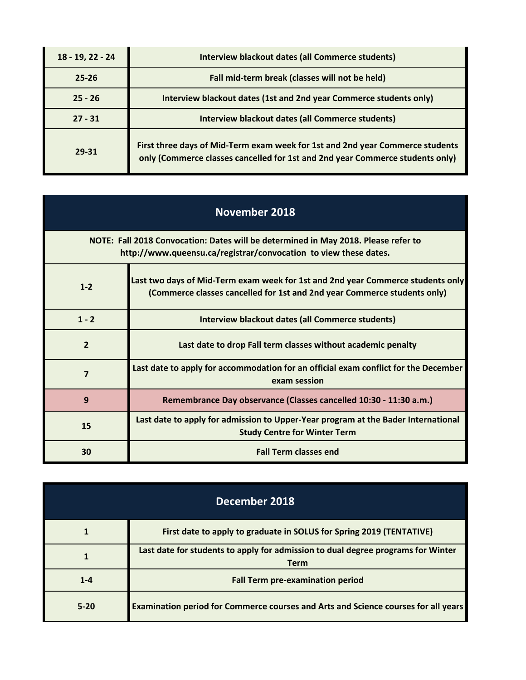| $18 - 19, 22 - 24$ | <b>Interview blackout dates (all Commerce students)</b>                                                                                                        |
|--------------------|----------------------------------------------------------------------------------------------------------------------------------------------------------------|
| $25 - 26$          | Fall mid-term break (classes will not be held)                                                                                                                 |
| $25 - 26$          | Interview blackout dates (1st and 2nd year Commerce students only)                                                                                             |
| $27 - 31$          | <b>Interview blackout dates (all Commerce students)</b>                                                                                                        |
| 29-31              | First three days of Mid-Term exam week for 1st and 2nd year Commerce students<br>only (Commerce classes cancelled for 1st and 2nd year Commerce students only) |

 $\sim$ 

| November 2018                                                                                                                                          |                                                                                                                                                             |
|--------------------------------------------------------------------------------------------------------------------------------------------------------|-------------------------------------------------------------------------------------------------------------------------------------------------------------|
| NOTE: Fall 2018 Convocation: Dates will be determined in May 2018. Please refer to<br>http://www.queensu.ca/registrar/convocation to view these dates. |                                                                                                                                                             |
| $1 - 2$                                                                                                                                                | Last two days of Mid-Term exam week for 1st and 2nd year Commerce students only<br>(Commerce classes cancelled for 1st and 2nd year Commerce students only) |
| $1 - 2$                                                                                                                                                | Interview blackout dates (all Commerce students)                                                                                                            |
| $\overline{2}$                                                                                                                                         | Last date to drop Fall term classes without academic penalty                                                                                                |
| $\overline{\mathbf{z}}$                                                                                                                                | Last date to apply for accommodation for an official exam conflict for the December<br>exam session                                                         |
| 9                                                                                                                                                      | Remembrance Day observance (Classes cancelled 10:30 - 11:30 a.m.)                                                                                           |
| 15                                                                                                                                                     | Last date to apply for admission to Upper-Year program at the Bader International<br><b>Study Centre for Winter Term</b>                                    |
| 30                                                                                                                                                     | <b>Fall Term classes end</b>                                                                                                                                |

| December 2018 |                                                                                                 |
|---------------|-------------------------------------------------------------------------------------------------|
|               | First date to apply to graduate in SOLUS for Spring 2019 (TENTATIVE)                            |
|               | Last date for students to apply for admission to dual degree programs for Winter<br><b>Term</b> |
| $1 - 4$       | <b>Fall Term pre-examination period</b>                                                         |
| $5 - 20$      | Examination period for Commerce courses and Arts and Science courses for all years              |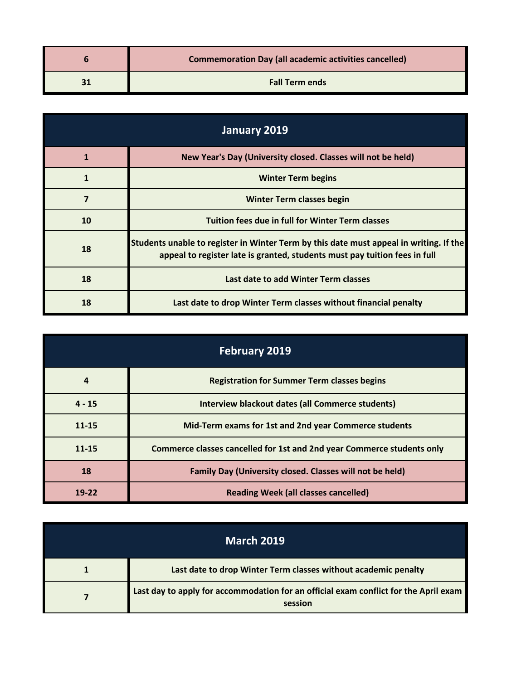| <b>Commemoration Day (all academic activities cancelled)</b> |
|--------------------------------------------------------------|
| <b>Fall Term ends</b>                                        |

| January 2019 |                                                                                                                                                                      |
|--------------|----------------------------------------------------------------------------------------------------------------------------------------------------------------------|
| $\mathbf{1}$ | New Year's Day (University closed. Classes will not be held)                                                                                                         |
| $\mathbf{1}$ | <b>Winter Term begins</b>                                                                                                                                            |
|              | <b>Winter Term classes begin</b>                                                                                                                                     |
| 10           | Tuition fees due in full for Winter Term classes                                                                                                                     |
| 18           | Students unable to register in Winter Term by this date must appeal in writing. If the<br>appeal to register late is granted, students must pay tuition fees in full |
| 18           | Last date to add Winter Term classes                                                                                                                                 |
| 18           | Last date to drop Winter Term classes without financial penalty                                                                                                      |

| <b>February 2019</b> |                                                                        |
|----------------------|------------------------------------------------------------------------|
| $\boldsymbol{4}$     | <b>Registration for Summer Term classes begins</b>                     |
| $4 - 15$             | <b>Interview blackout dates (all Commerce students)</b>                |
| $11 - 15$            | Mid-Term exams for 1st and 2nd year Commerce students                  |
| $11 - 15$            | Commerce classes cancelled for 1st and 2nd year Commerce students only |
| 18                   | Family Day (University closed. Classes will not be held)               |
| 19-22                | <b>Reading Week (all classes cancelled)</b>                            |

| <b>March 2019</b> |                                                                                                 |
|-------------------|-------------------------------------------------------------------------------------------------|
|                   | Last date to drop Winter Term classes without academic penalty                                  |
|                   | Last day to apply for accommodation for an official exam conflict for the April exam<br>session |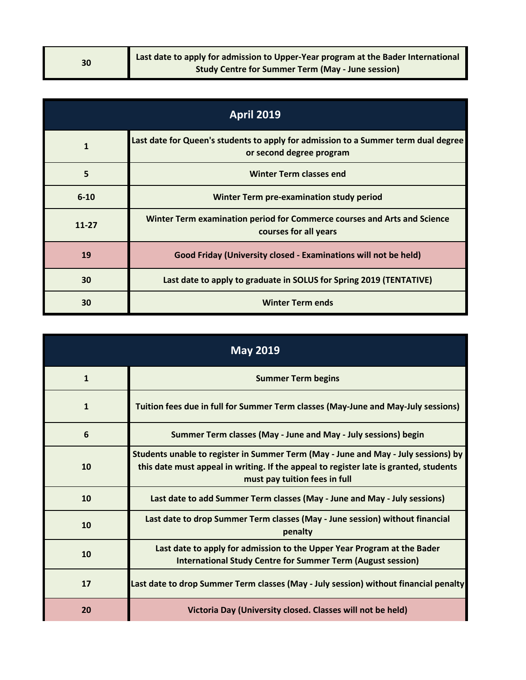| 30 | Last date to apply for admission to Upper-Year program at the Bader International |
|----|-----------------------------------------------------------------------------------|
|    | <b>Study Centre for Summer Term (May - June session)</b>                          |

| <b>April 2019</b> |                                                                                                                |
|-------------------|----------------------------------------------------------------------------------------------------------------|
| 1                 | Last date for Queen's students to apply for admission to a Summer term dual degree<br>or second degree program |
| 5                 | <b>Winter Term classes end</b>                                                                                 |
| $6 - 10$          | <b>Winter Term pre-examination study period</b>                                                                |
| $11 - 27$         | Winter Term examination period for Commerce courses and Arts and Science<br>courses for all years              |
| 19                | Good Friday (University closed - Examinations will not be held)                                                |
| 30                | Last date to apply to graduate in SOLUS for Spring 2019 (TENTATIVE)                                            |
| 30                | <b>Winter Term ends</b>                                                                                        |

| <b>May 2019</b> |                                                                                                                                                                                                              |
|-----------------|--------------------------------------------------------------------------------------------------------------------------------------------------------------------------------------------------------------|
| $\mathbf{1}$    | <b>Summer Term begins</b>                                                                                                                                                                                    |
| $\mathbf{1}$    | Tuition fees due in full for Summer Term classes (May-June and May-July sessions)                                                                                                                            |
| 6               | Summer Term classes (May - June and May - July sessions) begin                                                                                                                                               |
| 10              | Students unable to register in Summer Term (May - June and May - July sessions) by<br>this date must appeal in writing. If the appeal to register late is granted, students<br>must pay tuition fees in full |
| 10              | Last date to add Summer Term classes (May - June and May - July sessions)                                                                                                                                    |
| 10              | Last date to drop Summer Term classes (May - June session) without financial<br>penalty                                                                                                                      |
| 10              | Last date to apply for admission to the Upper Year Program at the Bader<br><b>International Study Centre for Summer Term (August session)</b>                                                                |
| 17              | Last date to drop Summer Term classes (May - July session) without financial penalty                                                                                                                         |
| 20              | Victoria Day (University closed. Classes will not be held)                                                                                                                                                   |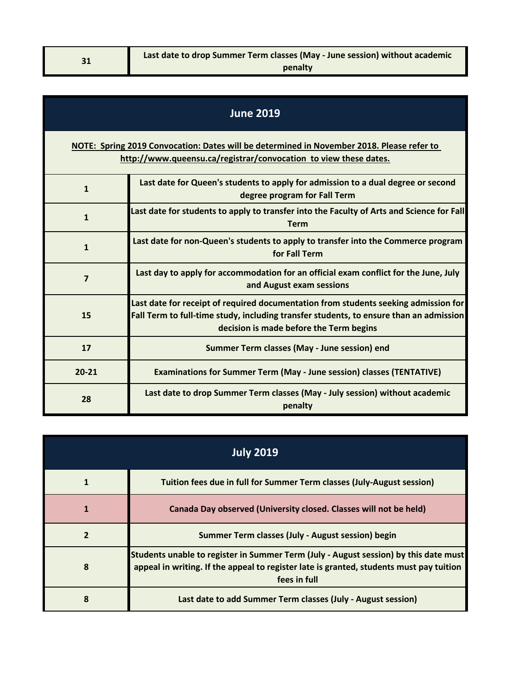| <b>June 2019</b>                                                                                                                                              |                                                                                                                                                                                                                          |
|---------------------------------------------------------------------------------------------------------------------------------------------------------------|--------------------------------------------------------------------------------------------------------------------------------------------------------------------------------------------------------------------------|
| NOTE: Spring 2019 Convocation: Dates will be determined in November 2018. Please refer to<br>http://www.queensu.ca/registrar/convocation to view these dates. |                                                                                                                                                                                                                          |
| $\mathbf{1}$                                                                                                                                                  | Last date for Queen's students to apply for admission to a dual degree or second<br>degree program for Fall Term                                                                                                         |
| $\mathbf{1}$                                                                                                                                                  | Last date for students to apply to transfer into the Faculty of Arts and Science for Fall<br><b>Term</b>                                                                                                                 |
| $\mathbf{1}$                                                                                                                                                  | Last date for non-Queen's students to apply to transfer into the Commerce program<br>for Fall Term                                                                                                                       |
| $\overline{7}$                                                                                                                                                | Last day to apply for accommodation for an official exam conflict for the June, July<br>and August exam sessions                                                                                                         |
| 15                                                                                                                                                            | Last date for receipt of required documentation from students seeking admission for<br>Fall Term to full-time study, including transfer students, to ensure than an admission<br>decision is made before the Term begins |
| 17                                                                                                                                                            | Summer Term classes (May - June session) end                                                                                                                                                                             |
| $20 - 21$                                                                                                                                                     | <b>Examinations for Summer Term (May - June session) classes (TENTATIVE)</b>                                                                                                                                             |
| 28                                                                                                                                                            | Last date to drop Summer Term classes (May - July session) without academic<br>penalty                                                                                                                                   |

| <b>July 2019</b> |                                                                                                                                                                                                 |
|------------------|-------------------------------------------------------------------------------------------------------------------------------------------------------------------------------------------------|
|                  | Tuition fees due in full for Summer Term classes (July-August session)                                                                                                                          |
|                  | Canada Day observed (University closed. Classes will not be held)                                                                                                                               |
|                  | Summer Term classes (July - August session) begin                                                                                                                                               |
| 8                | Students unable to register in Summer Term (July - August session) by this date must<br>appeal in writing. If the appeal to register late is granted, students must pay tuition<br>fees in full |
| 8                | Last date to add Summer Term classes (July - August session)                                                                                                                                    |